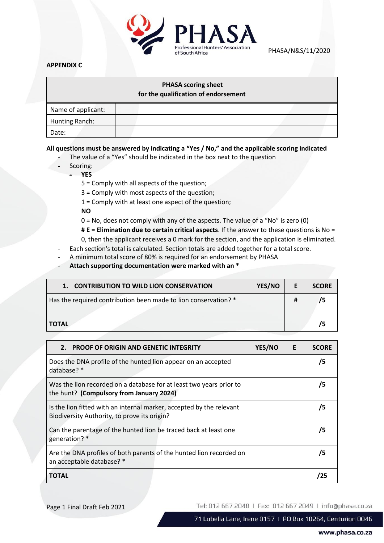

PHASA/N&S/11/2020

## **APPENDIX C**

## **PHASA scoring sheet**

**for the qualification of endorsement**

| Name of applicant: |  |
|--------------------|--|
| Hunting Ranch:     |  |
| Date:              |  |

## **All questions must be answered by indicating a "Yes / No," and the applicable scoring indicated**

- The value of a "Yes" should be indicated in the box next to the question
	- Scoring:

- **YES**

5 = Comply with all aspects of the question;

3 = Comply with most aspects of the question;

1 = Comply with at least one aspect of the question;

**NO**

- 0 = No, does not comply with any of the aspects. The value of a "No" is zero (0)
- **# E = Elimination due to certain critical aspects**. If the answer to these questions is No =
- 0, then the applicant receives a 0 mark for the section, and the application is eliminated.
- Each section's total is calculated. Section totals are added together for a total score.
- A minimum total score of 80% is required for an endorsement by PHASA
- **Attach supporting documentation were marked with an \***

| 1. CONTRIBUTION TO WILD LION CONSERVATION                       | YES/NO |   | <b>SCORE</b> |
|-----------------------------------------------------------------|--------|---|--------------|
| Has the required contribution been made to lion conservation? * |        | # |              |
| <b>TOTAL</b>                                                    |        |   |              |

| <b>PROOF OF ORIGIN AND GENETIC INTEGRITY</b><br>2.                                                                   | YES/NO | E | <b>SCORE</b> |
|----------------------------------------------------------------------------------------------------------------------|--------|---|--------------|
| Does the DNA profile of the hunted lion appear on an accepted<br>database? *                                         |        |   | 75           |
| Was the lion recorded on a database for at least two years prior to<br>the hunt? (Compulsory from January 2024)      |        |   | 75           |
| Is the lion fitted with an internal marker, accepted by the relevant<br>Biodiversity Authority, to prove its origin? |        |   | 75           |
| Can the parentage of the hunted lion be traced back at least one<br>generation? *                                    |        |   | 75           |
| Are the DNA profiles of both parents of the hunted lion recorded on<br>an acceptable database? *                     |        |   | 75           |
| TOTAL                                                                                                                |        |   |              |

Page 1 Final Draft Feb 2021

Tel: 012 667 2048 | Fax: 012 667 2049 | info@phasa.co.za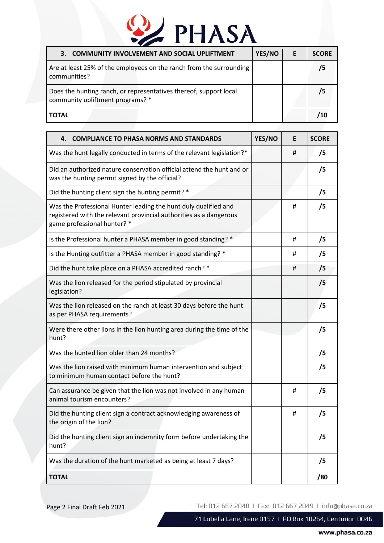## 2 PHASA

| <b>COMMUNITY INVOLVEMENT AND SOCIAL UPLIFTMENT</b><br>3.                                              | YES/NO | F | <b>SCORE</b> |
|-------------------------------------------------------------------------------------------------------|--------|---|--------------|
| Are at least 25% of the employees on the ranch from the surrounding<br>communities?                   |        |   |              |
| Does the hunting ranch, or representatives thereof, support local<br>community upliftment programs? * |        |   |              |
| <b>TOTAL</b>                                                                                          |        |   |              |

| <b>COMPLIANCE TO PHASA NORMS AND STANDARDS</b><br>4.                                                                                                                 | YES/NO | E | <b>SCORE</b> |
|----------------------------------------------------------------------------------------------------------------------------------------------------------------------|--------|---|--------------|
| Was the hunt legally conducted in terms of the relevant legislation?*                                                                                                |        | # | /5           |
| Did an authorized nature conservation official attend the hunt and or<br>was the hunting permit signed by the official?                                              |        |   | /5           |
| Did the hunting client sign the hunting permit? *                                                                                                                    |        |   | /5           |
| Was the Professional Hunter leading the hunt duly qualified and<br>registered with the relevant provincial authorities as a dangerous<br>game professional hunter? * |        | # | /5           |
| Is the Professional hunter a PHASA member in good standing? *                                                                                                        |        | # | /5           |
| Is the Hunting outfitter a PHASA member in good standing? *                                                                                                          |        | # | /5           |
| Did the hunt take place on a PHASA accredited ranch? *                                                                                                               |        | # | /5           |
| Was the lion released for the period stipulated by provincial<br>legislation?                                                                                        |        |   | /5           |
| Was the lion released on the ranch at least 30 days before the hunt<br>as per PHASA requirements?                                                                    |        |   | /5           |
| Were there other lions in the lion hunting area during the time of the<br>hunt?                                                                                      |        |   | /5           |
| Was the hunted lion older than 24 months?                                                                                                                            |        |   | /5           |
| Was the lion raised with minimum human intervention and subject<br>to minimum human contact before the hunt?                                                         |        |   | /5           |
| Can assurance be given that the lion was not involved in any human-<br>animal tourism encounters?                                                                    |        | # | /5           |
| Did the hunting client sign a contract acknowledging awareness of<br>the origin of the lion?                                                                         |        | # | /5           |
| Did the hunting client sign an indemnity form before undertaking the<br>hunt?                                                                                        |        |   | /5           |
| Was the duration of the hunt marketed as being at least 7 days?                                                                                                      |        |   | /5           |
| <b>TOTAL</b>                                                                                                                                                         |        |   | /80          |

Page 2 Final Draft Feb 2021

Tel: 012 667 2048 | Fax: 012 667 2049 | info@phasa.co.za

71 Lobelia Lane, Irene 0157 | PO Box 10264, Centurion 0046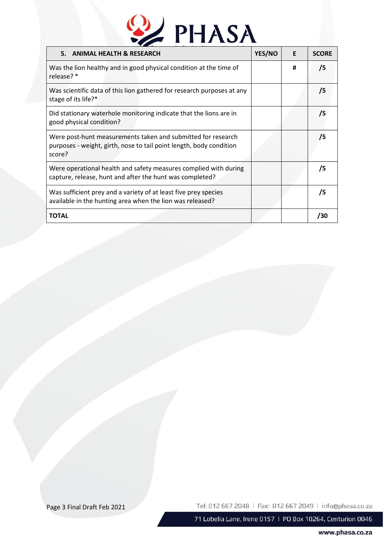# 2 PHASA

| 5. ANIMAL HEALTH & RESEARCH                                                                                                                   | YES/NO | E | <b>SCORE</b> |
|-----------------------------------------------------------------------------------------------------------------------------------------------|--------|---|--------------|
| Was the lion healthy and in good physical condition at the time of<br>release? *                                                              |        | # | /5           |
| Was scientific data of this lion gathered for research purposes at any<br>stage of its life?*                                                 |        |   | /5           |
| Did stationary waterhole monitoring indicate that the lions are in<br>good physical condition?                                                |        |   | 75           |
| Were post-hunt measurements taken and submitted for research<br>purposes - weight, girth, nose to tail point length, body condition<br>score? |        |   | 75           |
| Were operational health and safety measures complied with during<br>capture, release, hunt and after the hunt was completed?                  |        |   | 75           |
| Was sufficient prey and a variety of at least five prey species<br>available in the hunting area when the lion was released?                  |        |   | 75           |
| ΤΟΤΑL                                                                                                                                         |        |   | /30          |

Page 3 Final Draft Feb 2021

Tel: 012 667 2048 | Fax: 012 667 2049 | info@phasa.co.za

71 Lobelia Lane, Irene 0157 | PO Box 10264, Centurion 0046